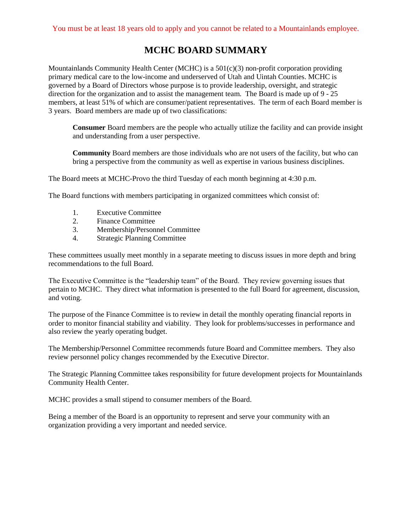## **MCHC BOARD SUMMARY**

Mountainlands Community Health Center (MCHC) is a 501(c)(3) non-profit corporation providing primary medical care to the low-income and underserved of Utah and Uintah Counties. MCHC is governed by a Board of Directors whose purpose is to provide leadership, oversight, and strategic direction for the organization and to assist the management team. The Board is made up of 9 - 25 members, at least 51% of which are consumer/patient representatives. The term of each Board member is 3 years. Board members are made up of two classifications:

**Consumer** Board members are the people who actually utilize the facility and can provide insight and understanding from a user perspective.

**Community** Board members are those individuals who are not users of the facility, but who can bring a perspective from the community as well as expertise in various business disciplines.

The Board meets at MCHC-Provo the third Tuesday of each month beginning at 4:30 p.m.

The Board functions with members participating in organized committees which consist of:

- 1. Executive Committee
- 2. Finance Committee
- 3. Membership/Personnel Committee
- 4. Strategic Planning Committee

These committees usually meet monthly in a separate meeting to discuss issues in more depth and bring recommendations to the full Board.

The Executive Committee is the "leadership team" of the Board. They review governing issues that pertain to MCHC. They direct what information is presented to the full Board for agreement, discussion, and voting.

The purpose of the Finance Committee is to review in detail the monthly operating financial reports in order to monitor financial stability and viability. They look for problems/successes in performance and also review the yearly operating budget.

The Membership/Personnel Committee recommends future Board and Committee members. They also review personnel policy changes recommended by the Executive Director.

The Strategic Planning Committee takes responsibility for future development projects for Mountainlands Community Health Center.

MCHC provides a small stipend to consumer members of the Board.

Being a member of the Board is an opportunity to represent and serve your community with an organization providing a very important and needed service.